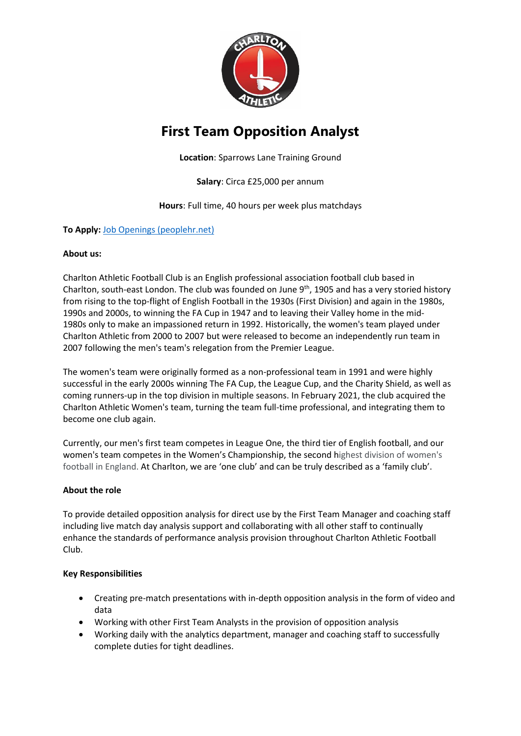

# **First Team Opposition Analyst**

**Location**: Sparrows Lane Training Ground

**Salary**: Circa £25,000 per annum

**Hours**: Full time, 40 hours per week plus matchdays

## **To Apply:** [Job Openings \(peoplehr.net\)](https://cafc.peoplehr.net/Pages/JobBoard/Opening.aspx?v=ac641bc7-ab95-42f3-a276-64cbe09b2a44)

## **About us:**

Charlton Athletic Football Club is an English professional association football club based in Charlton, south-east London. The club was founded on June  $9<sup>th</sup>$ , 1905 and has a very storied history from rising to the top-flight of English Football in the 1930s (First Division) and again in the 1980s, 1990s and 2000s, to winning the FA Cup in 1947 and to leaving their Valley home in the mid-1980s only to make an impassioned return in 1992. Historically, the women's team played under Charlton Athletic from 2000 to 2007 but were released to become an independently run team in 2007 following the men's team's relegation from the Premier League.

The women's team were originally formed as a non-professional team in 1991 and were highly successful in the early 2000s winning The FA Cup, the League Cup, and the Charity Shield, as well as coming runners-up in the top division in multiple seasons. In February 2021, the club acquired the Charlton Athletic Women's team, turning the team full-time professional, and integrating them to become one club again.

Currently, our men's first team competes in League One, the third tier of English football, and our women's team competes in the Women's Championship, the second highest division of women's football in England. At Charlton, we are 'one club' and can be truly described as a 'family club'.

## **About the role**

To provide detailed opposition analysis for direct use by the First Team Manager and coaching staff including live match day analysis support and collaborating with all other staff to continually enhance the standards of performance analysis provision throughout Charlton Athletic Football Club.

## **Key Responsibilities**

- Creating pre-match presentations with in-depth opposition analysis in the form of video and data
- Working with other First Team Analysts in the provision of opposition analysis
- Working daily with the analytics department, manager and coaching staff to successfully complete duties for tight deadlines.